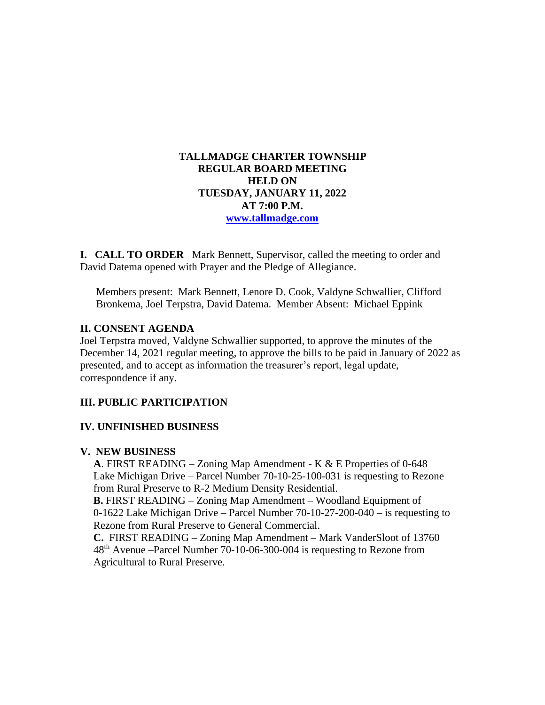## **TALLMADGE CHARTER TOWNSHIP REGULAR BOARD MEETING HELD ON TUESDAY, JANUARY 11, 2022 AT 7:00 P.M. [www.tallmadge.com](http://www.tallmadge.com/)**

**I. CALL TO ORDER** Mark Bennett, Supervisor, called the meeting to order and David Datema opened with Prayer and the Pledge of Allegiance.

Members present: Mark Bennett, Lenore D. Cook, Valdyne Schwallier, Clifford Bronkema, Joel Terpstra, David Datema. Member Absent: Michael Eppink

### **II. CONSENT AGENDA**

Joel Terpstra moved, Valdyne Schwallier supported, to approve the minutes of the December 14, 2021 regular meeting, to approve the bills to be paid in January of 2022 as presented, and to accept as information the treasurer's report, legal update, correspondence if any.

### **III. PUBLIC PARTICIPATION**

#### **IV. UNFINISHED BUSINESS**

#### **V. NEW BUSINESS**

 **A**. FIRST READING – Zoning Map Amendment - K & E Properties of 0-648 Lake Michigan Drive – Parcel Number 70-10-25-100-031 is requesting to Rezone from Rural Preserve to R-2 Medium Density Residential.  **B.** FIRST READING – Zoning Map Amendment – Woodland Equipment of 0-1622 Lake Michigan Drive – Parcel Number 70-10-27-200-040 – is requesting to Rezone from Rural Preserve to General Commercial.  **C.** FIRST READING – Zoning Map Amendment – Mark VanderSloot of 13760 48th Avenue –Parcel Number 70-10-06-300-004 is requesting to Rezone from Agricultural to Rural Preserve.